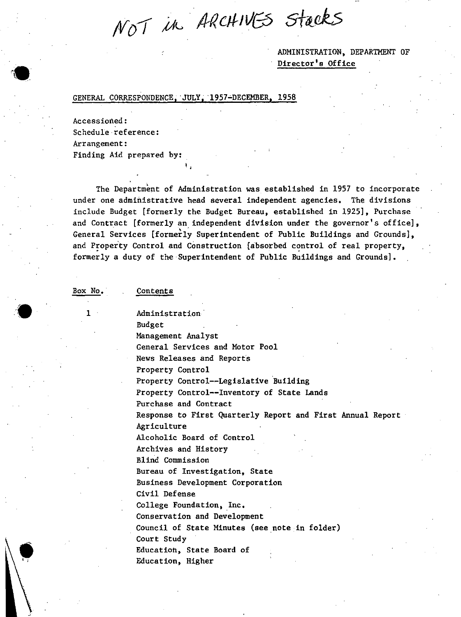NOT in ARCHIVES Stacks

ADMINISTRATION, DEPARTMENT OF Director's Office

### GENERAL CORRESPONDENCE, 'JULY; '1957~DECEMBER, 1958

I,

Accessioned: Schedule reference: Arrangement: Finding Aid prepared by:

The Department of Administration was established in 1957 to incorporate under one administrative head several independent agencies. The divisions include Budget [formerly the Budget Bureau, established in 1925], Purchase and Contract [formerly an independent division under the governor's office],<br>General Services [formerly Superintendent of Public Buildings and Grounds], and Property Control and Construction [absorbed control of real property, formerly a duty of the Superintendent of Public Buildings and Grounds].

Box No.

1

Contents

Administration' Budget Management Analyst General Services and Motor Pool News Releases and Reports Property Control Property Control--Legislative Building Property Control--Inventory of State Lands Purchase and Contract Response to First Quarterly Report and First Annual Report Agriculture Alcoholic Board of Control Archives and History Blind Commission Bureau of Investigation, State Business Development Corporation Civil Defense College Foundation, Inc. Conservation and Development Council of State Minutes (see note in folder) Court Study Education, State Board of Education, Higher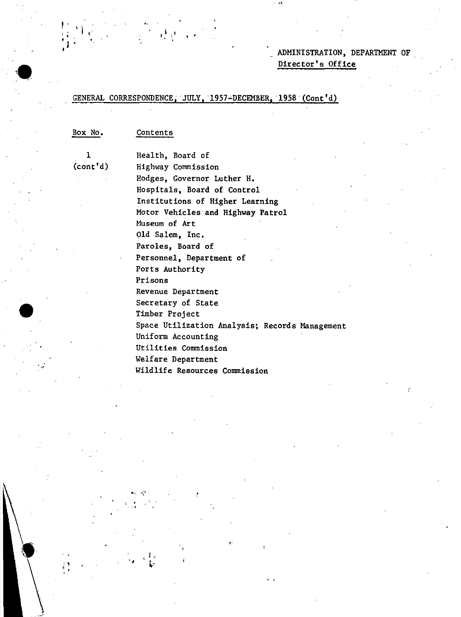## ADMINISTRATION, DEPARTMENT OF Director's Office

"~

### GENERAL CORRESPONDENCE; 'JULY, '1957~DECEMBER, '1958 (Cont'd)

• •

| Box No. | Co |
|---------|----|
|         |    |

### ntents

I (cont'd)

 $\bullet$ 

•

 $\frac{1}{\sqrt{2}}$ 

"

• ,

Health, Board of Highway Commission Hodges, Governor Luther H. Hospitals, Board of Control Institutions of Higher Learning Motor Vehicles and Highway Patrol Museum of Art Old Salem, Inc. Paroles, Board of Personnel, Department of Ports Authority Prisons Revenue Department Secretary of State Timber Project Space Utilization Analysis; Records Management Uniform Accounting Utilities Commission Welfare Department Wildlife Resources Commission

"

. ,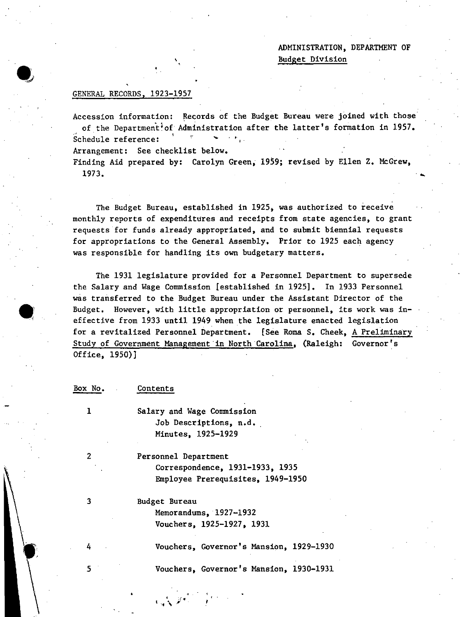## ADMINISTRATION, DEPARTMENT OF Budget Division

 $\overline{\phantom{a}}$ 

#### GENERAL RECORDS, 1923-1957

Accession information: Records of the Budget Bureau were joined with those of the Department of Administration after the latter's formation in 1957. Schedule reference:

Arrangement: See checklist below.

Finding Aid prepared by: Carolyn Green, 1959; revised by Ellen Z. McGrew, 1973.

The Budget Bureau, established in 1925, was authorized to receive monthly reports of expenditures and receipts from state agencies, to grant requests for funds already appropriated, and to submit biennial requests for appropriations to the General Assembly. Prior to 1925 each agency was responsible for handling its own budgetary matters.

The 1931 legislature provided for a Personnel Department to supersede the Salary and Wage Commission [established in 19251. In 1933 Personnel was transferred to the Budget Bureau under the Assistant Director of the Budget. However, with little appropriation or personnel, its work was ineffective from 1933 until 1949 when the legislature enacted legislation for a revitalized Personnel Department. [See Roma S. Cheek, A Preliminary Study of Government Management 'in North Carolina, (Raleigh: Governor's Office, 1950)1

Box No. Contents

1

# Salary and Wage Commission

Job Descriptions, n.d. Minutes, 1925-1929

2

Personnel Department Correspondence, 1931-1933, 1935 Employee Prerequisites, 1949-1950

3

Budget Bureau

Memorandums, 1927-1932 Vouchers, 1925-1927, 1931

Vouchers, Governor's Mansion, 1929-1930

Vouchers, Governor's Mansion, 1930-1931

5

4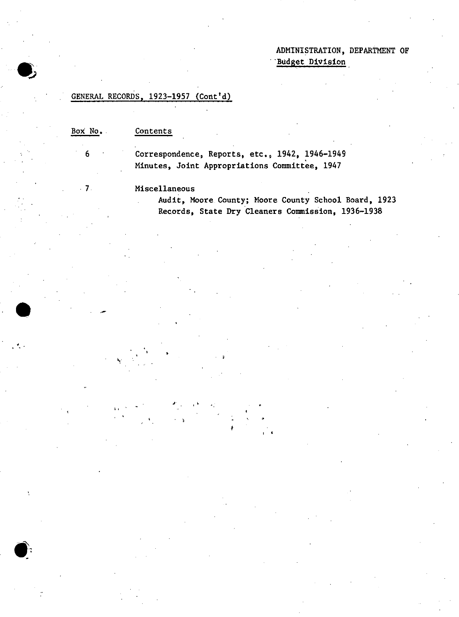# ADMINISTRATION, DEPARTMENT OF . 'Budget Division

# GENERAL RECORDS, 1923-1957 (Cont'd)

Box No •. Contents

~'

, .

6

·7

•

 $\ddot{\cdot}$ 

Correspondence, Reports, etc., 1942, 1946-1949 Minutes, Joint Appropriations Committee, 1947

 $\mathbf{F} = \begin{bmatrix} 1 & 0 & 0 \\ 0 & 0 & 0 \\ 0 & 0 & 0 \end{bmatrix}$ 

Miscellaneous

Audit, Moore County; Moore County School Board, 1923 Records, State Dry Cleaners Commission, 1936-1938